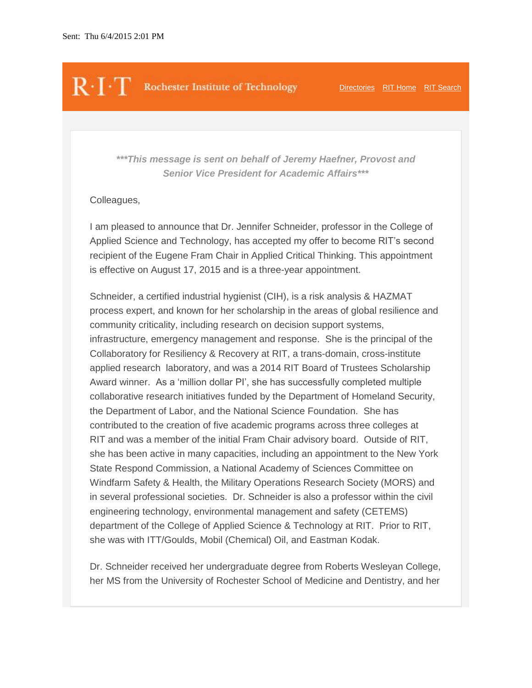## $\mathbb{R}\cdot\Gamma$  Rochester Institute of Technology [Directories](http://www.rit.edu/directories1.html) [RIT Home](https://www.rit.edu/) [RIT Search](http://www.rit.edu/search/)

*\*\*\*This message is sent on behalf of Jeremy Haefner, Provost and Senior Vice President for Academic Affairs\*\*\**

## Colleagues,

I am pleased to announce that Dr. Jennifer Schneider, professor in the College of Applied Science and Technology, has accepted my offer to become RIT's second recipient of the Eugene Fram Chair in Applied Critical Thinking. This appointment is effective on August 17, 2015 and is a three-year appointment.

Schneider, a certified industrial hygienist (CIH), is a risk analysis & HAZMAT process expert, and known for her scholarship in the areas of global resilience and community criticality, including research on decision support systems, infrastructure, emergency management and response. She is the principal of the Collaboratory for Resiliency & Recovery at RIT, a trans-domain, cross-institute applied research laboratory, and was a 2014 RIT Board of Trustees Scholarship Award winner. As a 'million dollar PI', she has successfully completed multiple collaborative research initiatives funded by the Department of Homeland Security, the Department of Labor, and the National Science Foundation. She has contributed to the creation of five academic programs across three colleges at RIT and was a member of the initial Fram Chair advisory board. Outside of RIT, she has been active in many capacities, including an appointment to the New York State Respond Commission, a National Academy of Sciences Committee on Windfarm Safety & Health, the Military Operations Research Society (MORS) and in several professional societies. Dr. Schneider is also a professor within the civil engineering technology, environmental management and safety (CETEMS) department of the College of Applied Science & Technology at RIT. Prior to RIT, she was with ITT/Goulds, Mobil (Chemical) Oil, and Eastman Kodak.

Dr. Schneider received her undergraduate degree from Roberts Wesleyan College, her MS from the University of Rochester School of Medicine and Dentistry, and her